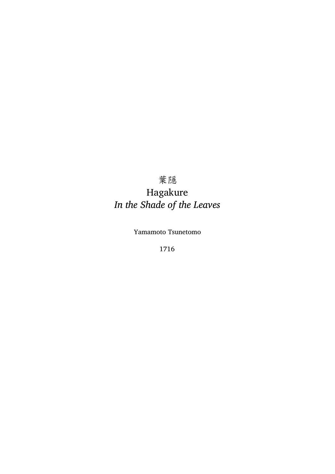# 葉隱 Hagakure *In the Shade of the Leaves*

Yamamoto Tsunetomo

1716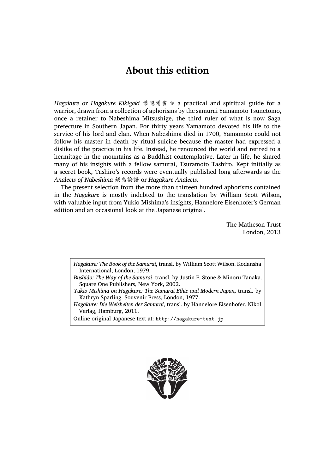## **About this edition**

*Hagakure* or *Hagakure Kikigaki* 葉隠聞書 is a practical and spiritual guide for a warrior, drawn from a collection of aphorisms by the samurai Yamamoto Tsunetomo, once a retainer to Nabeshima Mitsushige, the third ruler of what is now Saga prefecture in Southern Japan. For thirty years Yamamoto devoted his life to the service of his lord and clan. When Nabeshima died in 1700, Yamamoto could not follow his master in death by ritual suicide because the master had expressed a dislike of the practice in his life. Instead, he renounced the world and retired to a hermitage in the mountains as a Buddhist contemplative. Later in life, he shared many of his insights with a fellow samurai, Tsuramoto Tashiro. Kept initially as a secret book, Tashiro's records were eventually published long afterwards as the *Analects of Nabeshima* 鍋島論語 or *Hagakure Analects*.

The present selection from the more than thirteen hundred aphorisms contained in the *Hagakure* is mostly indebted to the translation by William Scott Wilson, with valuable input from Yukio Mishima's insights, Hannelore Eisenhofer's German edition and an occasional look at the Japanese original.

> The Matheson Trust London, 2013

*Hagakure: The Book of the Samurai*, transl. by William Scott Wilson. Kodansha International, London, 1979.

*Bushido: The Way of the Samurai*, transl. by Justin F. Stone & Minoru Tanaka. Square One Publishers, New York, 2002.

*Yukio Mishima on Hagakure: The Samurai Ethic and Modern Japan*, transl. by Kathryn Sparling. Souvenir Press, London, 1977.

*Hagakure: Die Weisheiten der Samurai*, transl. by Hannelore Eisenhofer. Nikol Verlag, Hamburg, 2011.

Online original Japanese text at: http://hagakure-text.jp

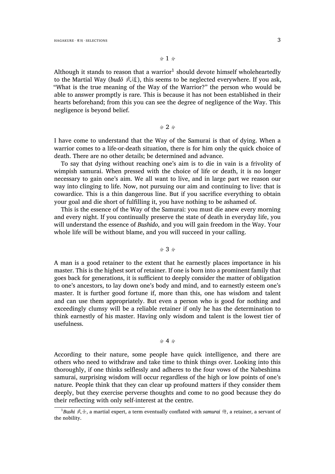分 1 分

Although it stands to reason that a warrior<sup>1</sup> should devote himself wholeheartedly to the Martial Way (*budō* 武道), this seems to be neglected everywhere. If you ask, "What is the true meaning of the Way of the Warrior?" the person who would be able to answer promptly is rare. This is because it has not been established in their hearts beforehand; from this you can see the degree of negligence of the Way. This negligence is beyond belief.

分 2 分

I have come to understand that the Way of the Samurai is that of dying. When a warrior comes to a life-or-death situation, there is for him only the quick choice of death. There are no other details; be determined and advance.

To say that dying without reaching one's aim is to die in vain is a frivolity of wimpish samurai. When pressed with the choice of life or death, it is no longer necessary to gain one's aim. We all want to live, and in large part we reason our way into clinging to life. Now, not pursuing our aim and continuing to live: that is cowardice. This is a thin dangerous line. But if you sacrifice everything to obtain your goal and die short of fulfilling it, you have nothing to be ashamed of.

This is the essence of the Way of the Samurai: you must die anew every morning and every night. If you continually preserve the state of death in everyday life, you will understand the essence of *Bushido*, and you will gain freedom in the Way. Your whole life will be without blame, and you will succeed in your calling.

分 3 分

A man is a good retainer to the extent that he earnestly places importance in his master. This is the highest sort of retainer. If one is born into a prominent family that goes back for generations, it is sufficient to deeply consider the matter of obligation to one's ancestors, to lay down one's body and mind, and to earnestly esteem one's master. It is further good fortune if, more than this, one has wisdom and talent and can use them appropriately. But even a person who is good for nothing and exceedingly clumsy will be a reliable retainer if only he has the determination to think earnestly of his master. Having only wisdom and talent is the lowest tier of usefulness.

分 4 分

According to their nature, some people have quick intelligence, and there are others who need to withdraw and take time to think things over. Looking into this thoroughly, if one thinks selflessly and adheres to the four vows of the Nabeshima samurai, surprising wisdom will occur regardless of the high or low points of one's nature. People think that they can clear up profound matters if they consider them deeply, but they exercise perverse thoughts and come to no good because they do their reflecting with only self-interest at the centre.

<sup>&</sup>lt;sup>1</sup>Bushi 式士, a martial expert, a term eventually conflated with *samurai* 侍, a retainer, a servant of the nobility.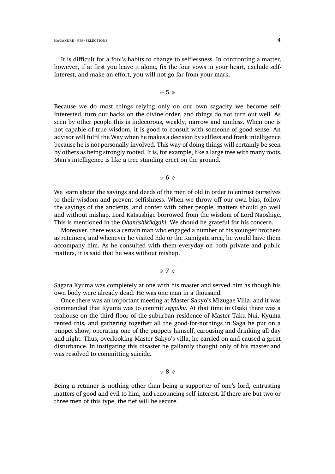It is difficult for a fool's habits to change to selflessness. In confronting a matter, however, if at first you leave it alone, fix the four vows in your heart, exclude selfinterest, and make an effort, you will not go far from your mark.

分 5 分

Because we do most things relying only on our own sagacity we become selfinterested, turn our backs on the divine order, and things do not turn out well. As seen by other people this is indecorous, weakly, narrow and aimless. When one is not capable of true wisdom, it is good to consult with someone of good sense. An advisor will fulfil the Way when he makes a decision by selfless and frank intelligence because he is not personally involved. This way of doing things will certainly be seen by others as being strongly rooted. It is, for example, like a large tree with many roots. Man's intelligence is like a tree standing erect on the ground.

分 6 分

We learn about the sayings and deeds of the men of old in order to entrust ourselves to their wisdom and prevent selfishness. When we throw off our own bias, follow the sayings of the ancients, and confer with other people, matters should go well and without mishap. Lord Katsushige borrowed from the wisdom of Lord Naoshige. This is mentioned in the *Ohanashikikigaki*. We should be grateful for his concern.

Moreover, there was a certain man who engaged a number of his younger brothers as retainers, and whenever he visited Edo or the Kamigata area, he would have them accompany him. As he consulted with them everyday on both private and public matters, it is said that he was without mishap.

分 7 分

Sagara Kyuma was completely at one with his master and served him as though his own body were already dead. He was one man in a thousand.

Once there was an important meeting at Master Sakyo's Mizugae Villa, and it was commanded that Kyuma was to commit *seppuku*. At that time in Osaki there was a teahouse on the third floor of the suburban residence of Master Taku Nui. Kyuma rented this, and gathering together all the good-for-nothings in Saga he put on a puppet show, operating one of the puppets himself, carousing and drinking all day and night. Thus, overlooking Master Sakyo's villa, he carried on and caused a great disturbance. In instigating this disaster he gallantly thought only of his master and was resolved to committing suicide.

分 8 分

Being a retainer is nothing other than being a supporter of one's lord, entrusting matters of good and evil to him, and renouncing self-interest. If there are but two or three men of this type, the fief will be secure.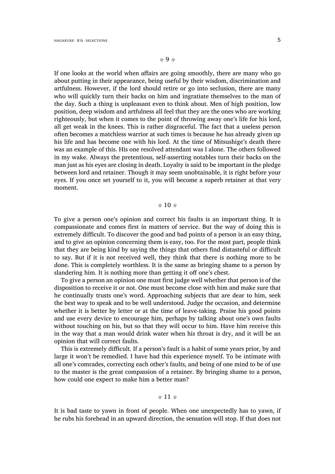分 9 分

If one looks at the world when affairs are going smoothly, there are many who go about putting in their appearance, being useful by their wisdom, discrimination and artfulness. However, if the lord should retire or go into seclusion, there are many who will quickly turn their backs on him and ingratiate themselves to the man of the day. Such a thing is unpleasant even to think about. Men of high position, low position, deep wisdom and artfulness all feel that they are the ones who are working righteously, but when it comes to the point of throwing away one's life for his lord, all get weak in the knees. This is rather disgraceful. The fact that a useless person often becomes a matchless warrior at such times is because he has already given up his life and has become one with his lord. At the time of Mitsushige's death there was an example of this. His one resolved attendant was I alone. The others followed in my wake. Always the pretentious, self-asserting notables turn their backs on the man just as his eyes are closing in death. Loyalty is said to be important in the pledge between lord and retainer. Though it may seem unobtainable, it is right before your eyes. If you once set yourself to it, you will become a superb retainer at that very moment.

分 10 分

To give a person one's opinion and correct his faults is an important thing. It is compassionate and comes first in matters of service. But the way of doing this is extremely difficult. To discover the good and bad points of a person is an easy thing, and to give an opinion concerning them is easy, too. For the most part, people think that they are being kind by saying the things that others find distasteful or difficult to say. But if it is not received well, they think that there is nothing more to be done. This is completely worthless. It is the same as bringing shame to a person by slandering him. It is nothing more than getting it off one's chest.

To give a person an opinion one must first judge well whether that person is of the disposition to receive it or not. One must become close with him and make sure that he continually trusts one's word. Approaching subjects that are dear to him, seek the best way to speak and to be well understood. Judge the occasion, and determine whether it is better by letter or at the time of leave-taking. Praise his good points and use every device to encourage him, perhaps by talking about one's own faults without touching on his, but so that they will occur to him. Have him receive this in the way that a man would drink water when his throat is dry, and it will be an opinion that will correct faults.

This is extremely difficult. If a person's fault is a habit of some years prior, by and large it won't be remedied. I have had this experience myself. To be intimate with all one's comrades, correcting each other's faults, and being of one mind to be of use to the master is the great compassion of a retainer. By bringing shame to a person, how could one expect to make him a better man?

分 11 分

It is bad taste to yawn in front of people. When one unexpectedly has to yawn, if he rubs his forehead in an upward direction, the sensation will stop. If that does not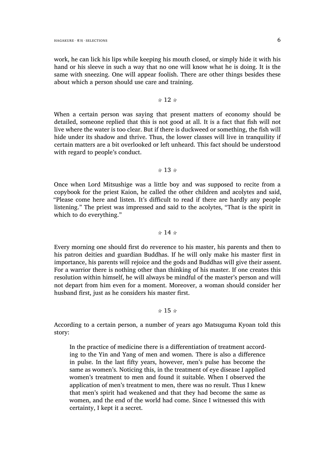work, he can lick his lips while keeping his mouth closed, or simply hide it with his hand or his sleeve in such a way that no one will know what he is doing. It is the same with sneezing. One will appear foolish. There are other things besides these about which a person should use care and training.

$$
\hat{\sigma}~12~\hat{\sigma}
$$

When a certain person was saying that present matters of economy should be detailed, someone replied that this is not good at all. It is a fact that fish will not live where the water is too clear. But if there is duckweed or something, the fish will hide under its shadow and thrive. Thus, the lower classes will live in tranquility if certain matters are a bit overlooked or left unheard. This fact should be understood with regard to people's conduct.

## 分 13 分

Once when Lord Mitsushige was a little boy and was supposed to recite from a copybook for the priest Kaion, he called the other children and acolytes and said, "Please come here and listen. It's difficult to read if there are hardly any people listening." The priest was impressed and said to the acolytes, "That is the spirit in which to do everything."

## 分 14 分

Every morning one should first do reverence to his master, his parents and then to his patron deities and guardian Buddhas. If he will only make his master first in importance, his parents will rejoice and the gods and Buddhas will give their assent. For a warrior there is nothing other than thinking of his master. If one creates this resolution within himself, he will always be mindful of the master's person and will not depart from him even for a moment. Moreover, a woman should consider her husband first, just as he considers his master first.

## 分 15 分

According to a certain person, a number of years ago Matsuguma Kyoan told this story:

In the practice of medicine there is a differentiation of treatment according to the Yin and Yang of men and women. There is also a difference in pulse. In the last fifty years, however, men's pulse has become the same as women's. Noticing this, in the treatment of eye disease I applied women's treatment to men and found it suitable. When I observed the application of men's treatment to men, there was no result. Thus I knew that men's spirit had weakened and that they had become the same as women, and the end of the world had come. Since I witnessed this with certainty, I kept it a secret.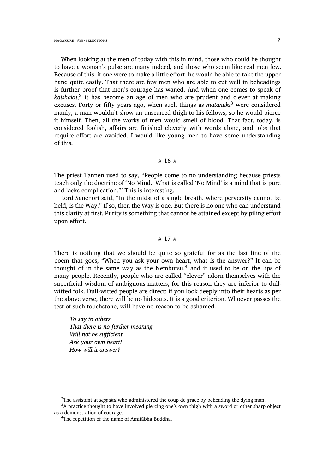When looking at the men of today with this in mind, those who could be thought to have a woman's pulse are many indeed, and those who seem like real men few. Because of this, if one were to make a little effort, he would be able to take the upper hand quite easily. That there are few men who are able to cut well in beheadings is further proof that men's courage has waned. And when one comes to speak of *kaishaku*, 2 it has become an age of men who are prudent and clever at making excuses. Forty or fifty years ago, when such things as *matanuki*<sup>3</sup> were considered manly, a man wouldn't show an unscarred thigh to his fellows, so he would pierce it himself. Then, all the works of men would smell of blood. That fact, today, is considered foolish, affairs are finished cleverly with words alone, and jobs that require effort are avoided. I would like young men to have some understanding of this.

分 16 分

The priest Tannen used to say, "People come to no understanding because priests teach only the doctrine of 'No Mind.' What is called 'No Mind' is a mind that is pure and lacks complication.'" This is interesting.

Lord Sanenori said, "In the midst of a single breath, where perversity cannot be held, is the Way." If so, then the Way is one. But there is no one who can understand this clarity at first. Purity is something that cannot be attained except by piling effort upon effort.

## 分 17 分

There is nothing that we should be quite so grateful for as the last line of the poem that goes, "When you ask your own heart, what is the answer?" It can be thought of in the same way as the Nembutsu, $4$  and it used to be on the lips of many people. Recently, people who are called "clever" adorn themselves with the superficial wisdom of ambiguous matters; for this reason they are inferior to dullwitted folk. Dull-witted people are direct: if you look deeply into their hearts as per the above verse, there will be no hideouts. It is a good criterion. Whoever passes the test of such touchstone, will have no reason to be ashamed.

*To say to others That there is no further meaning Will not be sufficient. Ask your own heart! How will it answer?*

<sup>&</sup>lt;sup>2</sup>The assistant at *seppuku* who administered the coup de grace by beheading the dying man.

<sup>&</sup>lt;sup>3</sup>A practice thought to have involved piercing one's own thigh with a sword or other sharp object as a demonstration of courage.

<sup>&</sup>lt;sup>4</sup>The repetition of the name of Amitabha Buddha.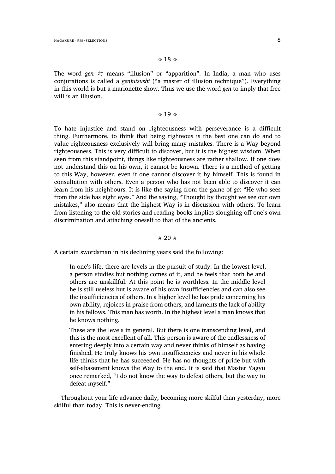分 18 分

The word *gen*  $\approx$  means "illusion" or "apparition". In India, a man who uses conjurations is called a *genjutsushi* ("a master of illusion technique"). Everything in this world is but a marionette show. Thus we use the word *gen* to imply that free will is an illusion.

## 分 19 分

To hate injustice and stand on righteousness with perseverance is a difficult thing. Furthermore, to think that being righteous is the best one can do and to value righteousness exclusively will bring many mistakes. There is a Way beyond righteousness. This is very difficult to discover, but it is the highest wisdom. When seen from this standpoint, things like righteousness are rather shallow. If one does not understand this on his own, it cannot be known. There is a method of getting to this Way, however, even if one cannot discover it by himself. This is found in consultation with others. Even a person who has not been able to discover it can learn from his neighbours. It is like the saying from the game of *go*: "He who sees from the side has eight eyes." And the saying, "Thought by thought we see our own mistakes," also means that the highest Way is in discussion with others. To learn from listening to the old stories and reading books implies sloughing off one's own discrimination and attaching oneself to that of the ancients.

## 分 20 分

A certain swordsman in his declining years said the following:

In one's life, there are levels in the pursuit of study. In the lowest level, a person studies but nothing comes of it, and he feels that both he and others are unskillful. At this point he is worthless. In the middle level he is still useless but is aware of his own insufficiencies and can also see the insufficiencies of others. In a higher level he has pride concerning his own ability, rejoices in praise from others, and laments the lack of ability in his fellows. This man has worth. In the highest level a man knows that he knows nothing.

These are the levels in general. But there is one transcending level, and this is the most excellent of all. This person is aware of the endlessness of entering deeply into a certain way and never thinks of himself as having finished. He truly knows his own insufficiencies and never in his whole life thinks that he has succeeded. He has no thoughts of pride but with self-abasement knows the Way to the end. It is said that Master Yagyu once remarked, "I do not know the way to defeat others, but the way to defeat myself."

Throughout your life advance daily, becoming more skilful than yesterday, more skilful than today. This is never-ending.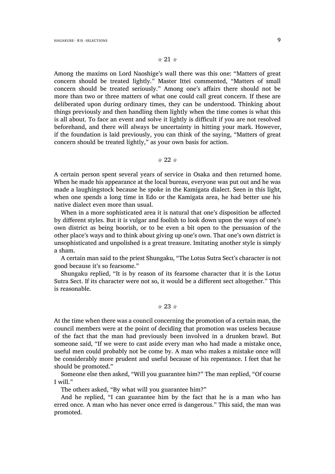## 分 21 分

Among the maxims on Lord Naoshige's wall there was this one: "Matters of great concern should be treated lightly." Master Ittei commented, "Matters of small concern should be treated seriously." Among one's affairs there should not be more than two or three matters of what one could call great concern. If these are deliberated upon during ordinary times, they can be understood. Thinking about things previously and then handling them lightly when the time comes is what this is all about. To face an event and solve it lightly is difficult if you are not resolved beforehand, and there will always be uncertainty in hitting your mark. However, if the foundation is laid previously, you can think of the saying, "Matters of great concern should be treated lightly," as your own basis for action.

分 22 分

A certain person spent several years of service in Osaka and then returned home. When he made his appearance at the local bureau, everyone was put out and he was made a laughingstock because he spoke in the Kamigata dialect. Seen in this light, when one spends a long time in Edo or the Kamigata area, he had better use his native dialect even more than usual.

When in a more sophisticated area it is natural that one's disposition be affected by different styles. But it is vulgar and foolish to look down upon the ways of one's own district as being boorish, or to be even a bit open to the persuasion of the other place's ways and to think about giving up one's own. That one's own district is unsophisticated and unpolished is a great treasure. Imitating another style is simply a sham.

A certain man said to the priest Shungaku, "The Lotus Sutra Sect's character is not good because it's so fearsome."

Shungaku replied, "It is by reason of its fearsome character that it is the Lotus Sutra Sect. If its character were not so, it would be a different sect altogether." This is reasonable.

## 分 23 分

At the time when there was a council concerning the promotion of a certain man, the council members were at the point of deciding that promotion was useless because of the fact that the man had previously been involved in a drunken brawl. But someone said, "If we were to cast aside every man who had made a mistake once, useful men could probably not be come by. A man who makes a mistake once will be considerably more prudent and useful because of his repentance. I feet that he should be promoted."

Someone else then asked, "Will you guarantee him?" The man replied, "Of course I will."

The others asked, "By what will you guarantee him?"

And he replied, "I can guarantee him by the fact that he is a man who has erred once. A man who has never once erred is dangerous." This said, the man was promoted.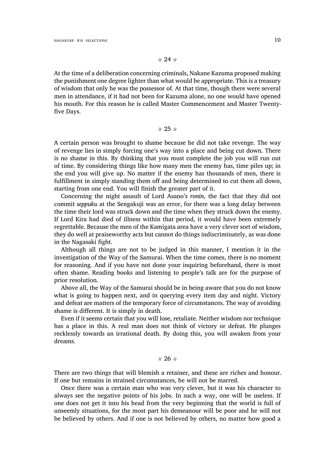At the time of a deliberation concerning criminals, Nakane Kazuma proposed making the punishment one degree lighter than what would be appropriate. This is a treasury of wisdom that only he was the possessor of. At that time, though there were several men in attendance, if it had not been for Kazuma alone, no one would have opened his mouth. For this reason he is called Master Commencement and Master Twentyfive Days.

分 25 分

A certain person was brought to shame because he did not take revenge. The way of revenge lies in simply forcing one's way into a place and being cut down. There is no shame in this. By thinking that you must complete the job you will run out of time. By considering things like how many men the enemy has, time piles up; in the end you will give up. No matter if the enemy has thousands of men, there is fulfillment in simply standing them off and being determined to cut them all down, starting from one end. You will finish the greater part of it.

Concerning the night assault of Lord Asano's *ronin*, the fact that they did not commit *seppuku* at the Sengakuji was an error, for there was a long delay between the time their lord was struck down and the time when they struck down the enemy. If Lord Kira had died of illness within that period, it would have been extremely regrettable. Because the men of the Kamigata area have a very clever sort of wisdom, they do well at praiseworthy acts but cannot do things indiscriminately, as was done in the Nagasaki fight.

Although all things are not to be judged in this manner, I mention it in the investigation of the Way of the Samurai. When the time comes, there is no moment for reasoning. And if you have not done your inquiring beforehand, there is most often shame. Reading books and listening to people's talk are for the purpose of prior resolution.

Above all, the Way of the Samurai should be in being aware that you do not know what is going to happen next, and in querying every item day and night. Victory and defeat are matters of the temporary force of circumstances. The way of avoiding shame is different. It is simply in death.

Even if it seems certain that you will lose, retaliate. Neither wisdom nor technique has a place in this. A real man does not think of victory or defeat. He plunges recklessly towards an irrational death. By doing this, you will awaken from your dreams.

分 26 分

There are two things that will blemish a retainer, and these are riches and honour. If one but remains in strained circumstances, he will not be marred.

Once there was a certain man who was very clever, but it was his character to always see the negative points of his jobs. In such a way, one will be useless. If one does not get it into his head from the very beginning that the world is full of unseemly situations, for the most part his demeanour will be poor and he will not be believed by others. And if one is not believed by others, no matter how good a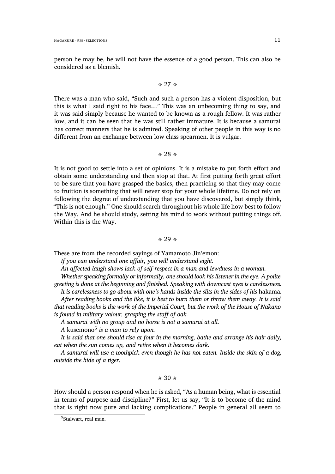person he may be, he will not have the essence of a good person. This can also be considered as a blemish.

$$
\hat{\pi}\;27\;\hat{\pi}
$$

There was a man who said, "Such and such a person has a violent disposition, but this is what I said right to his face…" This was an unbecoming thing to say, and it was said simply because he wanted to be known as a rough fellow. It was rather low, and it can be seen that he was still rather immature. It is because a samurai has correct manners that he is admired. Speaking of other people in this way is no different from an exchange between low class spearmen. It is vulgar.

分 28 分

It is not good to settle into a set of opinions. It is a mistake to put forth effort and obtain some understanding and then stop at that. At first putting forth great effort to be sure that you have grasped the basics, then practicing so that they may come to fruition is something that will never stop for your whole lifetime. Do not rely on following the degree of understanding that you have discovered, but simply think, "This is not enough." One should search throughout his whole life how best to follow the Way. And he should study, setting his mind to work without putting things off. Within this is the Way.

## 分 29 分

These are from the recorded sayings of Yamamoto Jin'emon:

*If you can understand one affair, you will understand eight.*

*An affected laugh shows lack of self-respect in a man and lewdness in a woman.*

*Whether speaking formally or informally, one should look his listener in the eye. A polite greeting is done at the beginning and finished. Speaking with downcast eyes is carelessness.*

*It is carelessness to go about with one's hands inside the slits in the sides of his* hakama*. After reading books and the like, it is best to burn them or throw them away. It is said that reading books is the work of the Imperial Court, but the work of the House of Nakano is found in military valour, grasping the staff of oak.*

*A samurai with no group and no horse is not a samurai at all.*

*A* kusemono<sup>5</sup> *is a man to rely upon.*

*It is said that one should rise at four in the morning, bathe and arrange his hair daily, eat when the sun comes up, and retire when it becomes dark.*

*A samurai will use a toothpick even though he has not eaten. Inside the skin of a dog, outside the hide of a tiger.*

分 30 分

How should a person respond when he is asked, "As a human being, what is essential in terms of purpose and discipline?" First, let us say, "It is to become of the mind that is right now pure and lacking complications." People in general all seem to

<sup>5</sup> Stalwart, real man.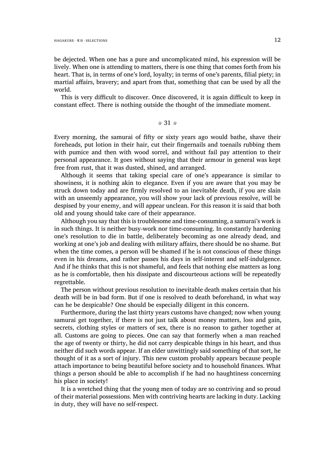be dejected. When one has a pure and uncomplicated mind, his expression will be lively. When one is attending to matters, there is one thing that comes forth from his heart. That is, in terms of one's lord, loyalty; in terms of one's parents, filial piety; in martial affairs, bravery; and apart from that, something that can be used by all the world.

This is very difficult to discover. Once discovered, it is again difficult to keep in constant effect. There is nothing outside the thought of the immediate moment.

分 31 分

Every morning, the samurai of fifty or sixty years ago would bathe, shave their foreheads, put lotion in their hair, cut their fingernails and toenails rubbing them with pumice and then with wood sorrel, and without fail pay attention to their personal appearance. It goes without saying that their armour in general was kept free from rust, that it was dusted, shined, and arranged.

Although it seems that taking special care of one's appearance is similar to showiness, it is nothing akin to elegance. Even if you are aware that you may be struck down today and are firmly resolved to an inevitable death, if you are slain with an unseemly appearance, you will show your lack of previous resolve, will be despised by your enemy, and will appear unclean. For this reason it is said that both old and young should take care of their appearance.

Although you say that this is troublesome and time-consuming, a samurai's work is in such things. It is neither busy-work nor time-consuming. In constantly hardening one's resolution to die in battle, deliberately becoming as one already dead, and working at one's job and dealing with military affairs, there should be no shame. But when the time comes, a person will be shamed if he is not conscious of these things even in his dreams, and rather passes his days in self-interest and self-indulgence. And if he thinks that this is not shameful, and feels that nothing else matters as long as he is comfortable, then his dissipate and discourteous actions will be repeatedly regrettable.

The person without previous resolution to inevitable death makes certain that his death will be in bad form. But if one is resolved to death beforehand, in what way can he be despicable? One should be especially diligent in this concern.

Furthermore, during the last thirty years customs have changed; now when young samurai get together, if there is not just talk about money matters, loss and gain, secrets, clothing styles or matters of sex, there is no reason to gather together at all. Customs are going to pieces. One can say that formerly when a man reached the age of twenty or thirty, he did not carry despicable things in his heart, and thus neither did such words appear. If an elder unwittingly said something of that sort, he thought of it as a sort of injury. This new custom probably appears because people attach importance to being beautiful before society and to household finances. What things a person should be able to accomplish if he had no haughtiness concerning his place in society!

It is a wretched thing that the young men of today are so contriving and so proud of their material possessions. Men with contriving hearts are lacking in duty. Lacking in duty, they will have no self-respect.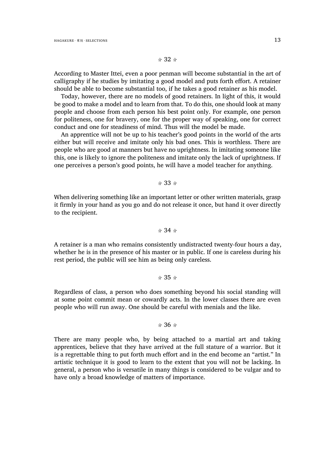According to Master Ittei, even a poor penman will become substantial in the art of calligraphy if he studies by imitating a good model and puts forth effort. A retainer should be able to become substantial too, if he takes a good retainer as his model.

Today, however, there are no models of good retainers. In light of this, it would be good to make a model and to learn from that. To do this, one should look at many people and choose from each person his best point only. For example, one person for politeness, one for bravery, one for the proper way of speaking, one for correct conduct and one for steadiness of mind. Thus will the model be made.

An apprentice will not be up to his teacher's good points in the world of the arts either but will receive and imitate only his bad ones. This is worthless. There are people who are good at manners but have no uprightness. In imitating someone like this, one is likely to ignore the politeness and imitate only the lack of uprightness. If one perceives a person's good points, he will have a model teacher for anything.

分 33 分

When delivering something like an important letter or other written materials, grasp it firmly in your hand as you go and do not release it once, but hand it over directly to the recipient.

分 34 分

A retainer is a man who remains consistently undistracted twenty-four hours a day, whether he is in the presence of his master or in public. If one is careless during his rest period, the public will see him as being only careless.

分 35 分

Regardless of class, a person who does something beyond his social standing will at some point commit mean or cowardly acts. In the lower classes there are even people who will run away. One should be careful with menials and the like.

分 36 分

There are many people who, by being attached to a martial art and taking apprentices, believe that they have arrived at the full stature of a warrior. But it is a regrettable thing to put forth much effort and in the end become an "artist." In artistic technique it is good to learn to the extent that you will not be lacking. In general, a person who is versatile in many things is considered to be vulgar and to have only a broad knowledge of matters of importance.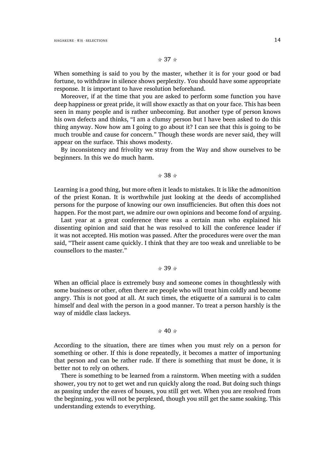When something is said to you by the master, whether it is for your good or bad fortune, to withdraw in silence shows perplexity. You should have some appropriate response. It is important to have resolution beforehand.

Moreover, if at the time that you are asked to perform some function you have deep happiness or great pride, it will show exactly as that on your face. This has been seen in many people and is rather unbecoming. But another type of person knows his own defects and thinks, "I am a clumsy person but I have been asked to do this thing anyway. Now how am I going to go about it? I can see that this is going to be much trouble and cause for concern." Though these words are never said, they will appear on the surface. This shows modesty.

By inconsistency and frivolity we stray from the Way and show ourselves to be beginners. In this we do much harm.

分 38 分

Learning is a good thing, but more often it leads to mistakes. It is like the admonition of the priest Konan. It is worthwhile just looking at the deeds of accomplished persons for the purpose of knowing our own insufficiencies. But often this does not happen. For the most part, we admire our own opinions and become fond of arguing.

Last year at a great conference there was a certain man who explained his dissenting opinion and said that he was resolved to kill the conference leader if it was not accepted. His motion was passed. After the procedures were over the man said, "Their assent came quickly. I think that they are too weak and unreliable to be counsellors to the master."

#### 分 39 分

When an official place is extremely busy and someone comes in thoughtlessly with some business or other, often there are people who will treat him coldly and become angry. This is not good at all. At such times, the etiquette of a samurai is to calm himself and deal with the person in a good manner. To treat a person harshly is the way of middle class lackeys.

## 分 40 分

According to the situation, there are times when you must rely on a person for something or other. If this is done repeatedly, it becomes a matter of importuning that person and can be rather rude. If there is something that must be done, it is better not to rely on others.

There is something to be learned from a rainstorm. When meeting with a sudden shower, you try not to get wet and run quickly along the road. But doing such things as passing under the eaves of houses, you still get wet. When you are resolved from the beginning, you will not be perplexed, though you still get the same soaking. This understanding extends to everything.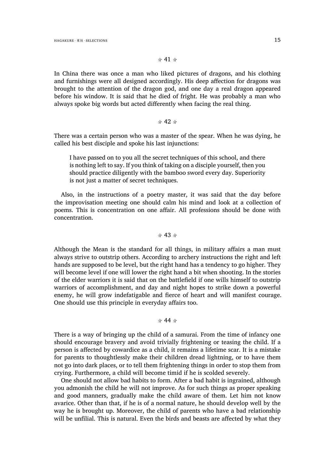In China there was once a man who liked pictures of dragons, and his clothing and furnishings were all designed accordingly. His deep affection for dragons was brought to the attention of the dragon god, and one day a real dragon appeared before his window. It is said that he died of fright. He was probably a man who always spoke big words but acted differently when facing the real thing.

分 42 分

There was a certain person who was a master of the spear. When he was dying, he called his best disciple and spoke his last injunctions:

I have passed on to you all the secret techniques of this school, and there is nothing left to say. If you think of taking on a disciple yourself, then you should practice diligently with the bamboo sword every day. Superiority is not just a matter of secret techniques.

Also, in the instructions of a poetry master, it was said that the day before the improvisation meeting one should calm his mind and look at a collection of poems. This is concentration on one affair. All professions should be done with concentration.

#### 分 43 分

Although the Mean is the standard for all things, in military affairs a man must always strive to outstrip others. According to archery instructions the right and left hands are supposed to be level, but the right hand has a tendency to go higher. They will become level if one will lower the right hand a bit when shooting. In the stories of the elder warriors it is said that on the battlefield if one wills himself to outstrip warriors of accomplishment, and day and night hopes to strike down a powerful enemy, he will grow indefatigable and fierce of heart and will manifest courage. One should use this principle in everyday affairs too.

#### 分 44 分

There is a way of bringing up the child of a samurai. From the time of infancy one should encourage bravery and avoid trivially frightening or teasing the child. If a person is affected by cowardice as a child, it remains a lifetime scar. It is a mistake for parents to thoughtlessly make their children dread lightning, or to have them not go into dark places, or to tell them frightening things in order to stop them from crying. Furthermore, a child will become timid if he is scolded severely.

One should not allow bad habits to form. After a bad habit is ingrained, although you admonish the child he will not improve. As for such things as proper speaking and good manners, gradually make the child aware of them. Let him not know avarice. Other than that, if he is of a normal nature, he should develop well by the way he is brought up. Moreover, the child of parents who have a bad relationship will be unfilial. This is natural. Even the birds and beasts are affected by what they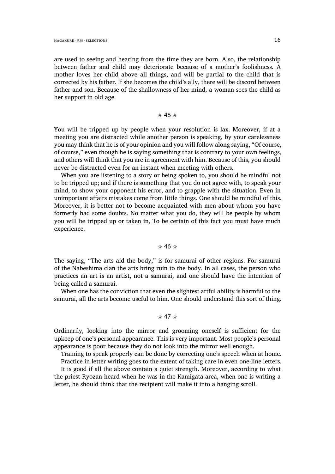are used to seeing and hearing from the time they are born. Also, the relationship between father and child may deteriorate because of a mother's foolishness. A mother loves her child above all things, and will be partial to the child that is corrected by his father. If she becomes the child's ally, there will be discord between father and son. Because of the shallowness of her mind, a woman sees the child as her support in old age.

分 45 分

You will be tripped up by people when your resolution is lax. Moreover, if at a meeting you are distracted while another person is speaking, by your carelessness you may think that he is of your opinion and you will follow along saying, "Of course, of course," even though he is saying something that is contrary to your own feelings, and others will think that you are in agreement with him. Because of this, you should never be distracted even for an instant when meeting with others.

When you are listening to a story or being spoken to, you should be mindful not to be tripped up; and if there is something that you do not agree with, to speak your mind, to show your opponent his error, and to grapple with the situation. Even in unimportant affairs mistakes come from little things. One should be mindful of this. Moreover, it is better not to become acquainted with men about whom you have formerly had some doubts. No matter what you do, they will be people by whom you will be tripped up or taken in, To be certain of this fact you must have much experience.

#### 分 46 分

The saying, "The arts aid the body," is for samurai of other regions. For samurai of the Nabeshima clan the arts bring ruin to the body. In all cases, the person who practices an art is an artist, not a samurai, and one should have the intention of being called a samurai.

When one has the conviction that even the slightest artful ability is harmful to the samurai, all the arts become useful to him. One should understand this sort of thing.

分 47 分

Ordinarily, looking into the mirror and grooming oneself is sufficient for the upkeep of one's personal appearance. This is very important. Most people's personal appearance is poor because they do not look into the mirror well enough.

Training to speak properly can be done by correcting one's speech when at home. Practice in letter writing goes to the extent of taking care in even one-line letters.

It is good if all the above contain a quiet strength. Moreover, according to what the priest Ryozan heard when he was in the Kamigata area, when one is writing a letter, he should think that the recipient will make it into a hanging scroll.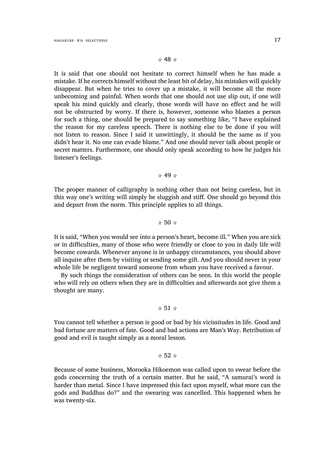## 分 48 分

It is said that one should not hesitate to correct himself when he has made a mistake. If he corrects himself without the least bit of delay, his mistakes will quickly disappear. But when he tries to cover up a mistake, it will become all the more unbecoming and painful. When words that one should not use slip out, if one will speak his mind quickly and clearly, those words will have no effect and he will not be obstructed by worry. If there is, however, someone who blames a person for such a thing, one should be prepared to say something like, "I have explained the reason for my careless speech. There is nothing else to be done if you will not listen to reason. Since I said it unwittingly, it should be the same as if you didn't hear it. No one can evade blame." And one should never talk about people or secret matters. Furthermore, one should only speak according to how he judges his listener's feelings.

#### 分 49 分

The proper manner of calligraphy is nothing other than not being careless, but in this way one's writing will simply be sluggish and stiff. One should go beyond this and depart from the norm. This principle applies to all things.

#### 分 50 分

It is said, "When you would see into a person's heart, become ill." When you are sick or in difficulties, many of those who were friendly or close to you in daily life will become cowards. Whenever anyone is in unhappy circumstances, you should above all inquire after them by visiting or sending some gift. And you should never in your whole life be negligent toward someone from whom you have received a favour.

By such things the consideration of others can be seen. In this world the people who will rely on others when they are in difficulties and afterwards not give them a thought are many.

## 分 51 分

You cannot tell whether a person is good or bad by his vicissitudes in life. Good and bad fortune are matters of fate. Good and bad actions are Man's Way. Retribution of good and evil is taught simply as a moral lesson.

#### 分 52 分

Because of some business, Morooka Hikoemon was called upon to swear before the gods concerning the truth of a certain matter. But he said, "A samurai's word is harder than metal. Since I have impressed this fact upon myself, what more can the gods and Buddhas do?" and the swearing was cancelled. This happened when he was twenty-six.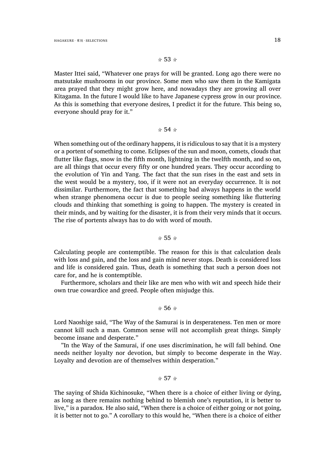## 分 53 分

Master Ittei said, "Whatever one prays for will be granted. Long ago there were no matsutake mushrooms in our province. Some men who saw them in the Kamigata area prayed that they might grow here, and nowadays they are growing all over Kitagama. In the future I would like to have Japanese cypress grow in our province. As this is something that everyone desires, I predict it for the future. This being so, everyone should pray for it."

#### 分 54 分

When something out of the ordinary happens, it is ridiculous to say that it is a mystery or a portent of something to come. Eclipses of the sun and moon, comets, clouds that flutter like flags, snow in the fifth month, lightning in the twelfth month, and so on, are all things that occur every fifty or one hundred years. They occur according to the evolution of Yin and Yang. The fact that the sun rises in the east and sets in the west would be a mystery, too, if it were not an everyday occurrence. It is not dissimilar. Furthermore, the fact that something bad always happens in the world when strange phenomena occur is due to people seeing something like fluttering clouds and thinking that something is going to happen. The mystery is created in their minds, and by waiting for the disaster, it is from their very minds that it occurs. The rise of portents always has to do with word of mouth.

#### 分 55 分

Calculating people are contemptible. The reason for this is that calculation deals with loss and gain, and the loss and gain mind never stops. Death is considered loss and life is considered gain. Thus, death is something that such a person does not care for, and he is contemptible.

Furthermore, scholars and their like are men who with wit and speech hide their own true cowardice and greed. People often misjudge this.

## 分 56 分

Lord Naoshige said, "The Way of the Samurai is in desperateness. Ten men or more cannot kill such a man. Common sense will not accomplish great things. Simply become insane and desperate."

"In the Way of the Samurai, if one uses discrimination, he will fall behind. One needs neither loyalty nor devotion, but simply to become desperate in the Way. Loyalty and devotion are of themselves within desperation."

分 57 分

The saying of Shida Kichinosuke, "When there is a choice of either living or dying, as long as there remains nothing behind to blemish one's reputation, it is better to live," is a paradox. He also said, "When there is a choice of either going or not going, it is better not to go." A corollary to this would he, "When there is a choice of either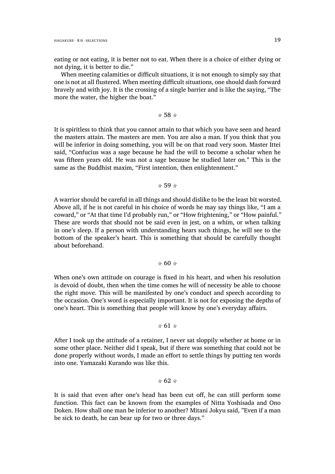eating or not eating, it is better not to eat. When there is a choice of either dying or not dying, it is better to die."

When meeting calamities or difficult situations, it is not enough to simply say that one is not at all flustered. When meeting difficult situations, one should dash forward bravely and with joy. It is the crossing of a single barrier and is like the saying, "The more the water, the higher the boat."

分 58 分

It is spiritless to think that you cannot attain to that which you have seen and heard the masters attain. The masters are men. You are also a man. If you think that you will be inferior in doing something, you will be on that road very soon. Master Ittei said, "Confucius was a sage because he had the will to become a scholar when he was fifteen years old. He was not a sage because he studied later on." This is the same as the Buddhist maxim, "First intention, then enlightenment."

#### 分 59 分

A warrior should be careful in all things and should dislike to be the least bit worsted. Above all, if he is not careful in his choice of words he may say things like, "I am a coward," or "At that time I'd probably run," or "How frightening," or "How painful." These are words that should not be said even in jest, on a whim, or when talking in one's sleep. If a person with understanding hears such things, he will see to the bottom of the speaker's heart. This is something that should be carefully thought about beforehand.

## 分 60 分

When one's own attitude on courage is fixed in his heart, and when his resolution is devoid of doubt, then when the time comes he will of necessity be able to choose the right move. This will be manifested by one's conduct and speech according to the occasion. One's word is especially important. It is not for exposing the depths of one's heart. This is something that people will know by one's everyday affairs.

## 分 61 分

After I took up the attitude of a retainer, I never sat sloppily whether at home or in some other place. Neither did I speak, but if there was something that could not be done properly without words, I made an effort to settle things by putting ten words into one. Yamazaki Kurando was like this.

#### 分 62 分

It is said that even after one's head has been cut off, he can still perform some function. This fact can be known from the examples of Nitta Yoshisada and Ono Doken. How shall one man be inferior to another? Mitani Jokyu said, "Even if a man be sick to death, he can bear up for two or three days."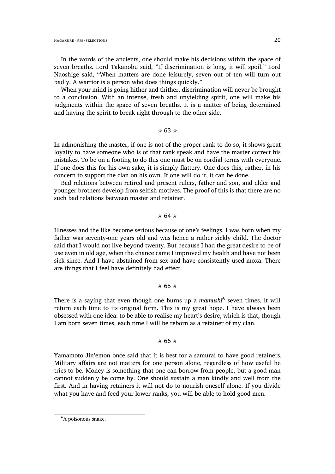HAGAKURE · 葉隱 · SELECTIONS  $20$ 

In the words of the ancients, one should make his decisions within the space of seven breaths. Lord Takanobu said, "If discrimination is long, it will spoil." Lord Naoshige said, "When matters are done leisurely, seven out of ten will turn out badly. A warrior is a person who does things quickly."

When your mind is going hither and thither, discrimination will never be brought to a conclusion. With an intense, fresh and unyielding spirit, one will make his judgments within the space of seven breaths. It is a matter of being determined and having the spirit to break right through to the other side.

## 分 63 分

In admonishing the master, if one is not of the proper rank to do so, it shows great loyalty to have someone who is of that rank speak and have the master correct his mistakes. To be on a footing to do this one must be on cordial terms with everyone. If one does this for his own sake, it is simply flattery. One does this, rather, in his concern to support the clan on his own. If one will do it, it can be done.

Bad relations between retired and present rulers, father and son, and elder and younger brothers develop from selfish motives. The proof of this is that there are no such bad relations between master and retainer.

$$
\hat{\nu} \ 64 \ \hat{\nu}
$$

Illnesses and the like become serious because of one's feelings. I was born when my father was seventy-one years old and was hence a rather sickly child. The doctor said that I would not live beyond twenty. But because I had the great desire to be of use even in old age, when the chance came I improved my health and have not been sick since. And I have abstained from sex and have consistently used moxa. There are things that I feel have definitely had effect.

## 分 65 分

There is a saying that even though one burns up a *mamushi*<sup>6</sup> seven times, it will return each time to its original form. This is my great hope. I have always been obsessed with one idea: to be able to realise my heart's desire, which is that, though I am born seven times, each time I will be reborn as a retainer of my clan.

## 分 66 分

Yamamoto Jin'emon once said that it is best for a samurai to have good retainers. Military affairs are not matters for one person alone, regardless of how useful he tries to be. Money is something that one can borrow from people, but a good man cannot suddenly be come by. One should sustain a man kindly and well from the first. And in having retainers it will not do to nourish oneself alone. If you divide what you have and feed your lower ranks, you will be able to hold good men.

<sup>&</sup>lt;sup>6</sup>A poisonous snake.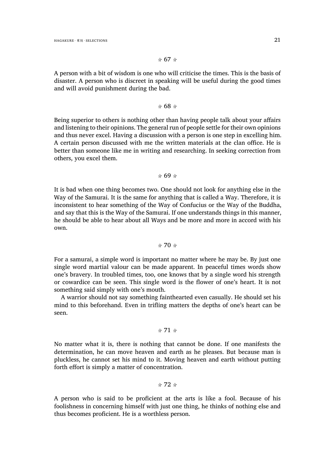A person with a bit of wisdom is one who will criticise the times. This is the basis of disaster. A person who is discreet in speaking will be useful during the good times and will avoid punishment during the bad.

分 68 分

Being superior to others is nothing other than having people talk about your affairs and listening to their opinions. The general run of people settle for their own opinions and thus never excel. Having a discussion with a person is one step in excelling him. A certain person discussed with me the written materials at the clan office. He is better than someone like me in writing and researching. In seeking correction from others, you excel them.

#### 分 69 分

It is bad when one thing becomes two. One should not look for anything else in the Way of the Samurai. It is the same for anything that is called a Way. Therefore, it is inconsistent to hear something of the Way of Confucius or the Way of the Buddha, and say that this is the Way of the Samurai. If one understands things in this manner, he should be able to hear about all Ways and be more and more in accord with his own.

#### 分 70 分

For a samurai, a simple word is important no matter where he may be. By just one single word martial valour can be made apparent. In peaceful times words show one's bravery. In troubled times, too, one knows that by a single word his strength or cowardice can be seen. This single word is the flower of one's heart. It is not something said simply with one's mouth.

A warrior should not say something fainthearted even casually. He should set his mind to this beforehand. Even in trifling matters the depths of one's heart can be seen.

## 分 71 分

No matter what it is, there is nothing that cannot be done. If one manifests the determination, he can move heaven and earth as he pleases. But because man is pluckless, he cannot set his mind to it. Moving heaven and earth without putting forth effort is simply a matter of concentration.

## 分 72 分

A person who is said to be proficient at the arts is like a fool. Because of his foolishness in concerning himself with just one thing, he thinks of nothing else and thus becomes proficient. He is a worthless person.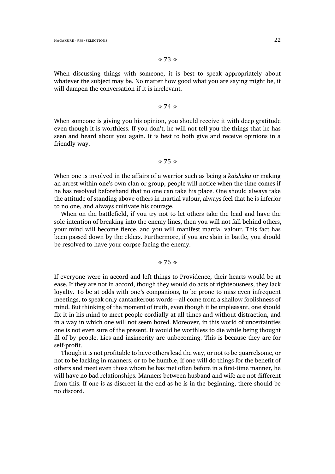When discussing things with someone, it is best to speak appropriately about whatever the subject may be. No matter how good what you are saying might be, it will dampen the conversation if it is irrelevant.

分 74 分

When someone is giving you his opinion, you should receive it with deep gratitude even though it is worthless. If you don't, he will not tell you the things that he has seen and heard about you again. It is best to both give and receive opinions in a friendly way.

分 75 分

When one is involved in the affairs of a warrior such as being a *kaishaku* or making an arrest within one's own clan or group, people will notice when the time comes if he has resolved beforehand that no one can take his place. One should always take the attitude of standing above others in martial valour, always feel that he is inferior to no one, and always cultivate his courage.

When on the battlefield, if you try not to let others take the lead and have the sole intention of breaking into the enemy lines, then you will not fall behind others, your mind will become fierce, and you will manifest martial valour. This fact has been passed down by the elders. Furthermore, if you are slain in battle, you should be resolved to have your corpse facing the enemy.

分 76 分

If everyone were in accord and left things to Providence, their hearts would be at ease. If they are not in accord, though they would do acts of righteousness, they lack loyalty. To be at odds with one's companions, to be prone to miss even infrequent meetings, to speak only cantankerous words—all come from a shallow foolishness of mind. But thinking of the moment of truth, even though it be unpleasant, one should fix it in his mind to meet people cordially at all times and without distraction, and in a way in which one will not seem bored. Moreover, in this world of uncertainties one is not even sure of the present. It would be worthless to die while being thought ill of by people. Lies and insincerity are unbecoming. This is because they are for self-profit.

Though it is not profitable to have others lead the way, or not to be quarrelsome, or not to be lacking in manners, or to be humble, if one will do things for the benefit of others and meet even those whom he has met often before in a first-time manner, he will have no bad relationships. Manners between husband and wife are not different from this. If one is as discreet in the end as he is in the beginning, there should be no discord.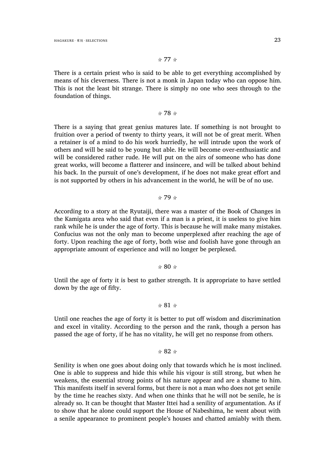There is a certain priest who is said to be able to get everything accomplished by means of his cleverness. There is not a monk in Japan today who can oppose him. This is not the least bit strange. There is simply no one who sees through to the foundation of things.

#### 分 78 分

There is a saying that great genius matures late. If something is not brought to fruition over a period of twenty to thirty years, it will not be of great merit. When a retainer is of a mind to do his work hurriedly, he will intrude upon the work of others and will be said to be young but able. He will become over-enthusiastic and will be considered rather rude. He will put on the airs of someone who has done great works, will become a flatterer and insincere, and will be talked about behind his back. In the pursuit of one's development, if he does not make great effort and is not supported by others in his advancement in the world, he will be of no use.

## 分 79 分

According to a story at the Ryutaiji, there was a master of the Book of Changes in the Kamigata area who said that even if a man is a priest, it is useless to give him rank while he is under the age of forty. This is because he will make many mistakes. Confucius was not the only man to become unperplexed after reaching the age of forty. Upon reaching the age of forty, both wise and foolish have gone through an appropriate amount of experience and will no longer be perplexed.

#### 分 80 分

Until the age of forty it is best to gather strength. It is appropriate to have settled down by the age of fifty.

#### 分 81 分

Until one reaches the age of forty it is better to put off wisdom and discrimination and excel in vitality. According to the person and the rank, though a person has passed the age of forty, if he has no vitality, he will get no response from others.

#### 分 82 分

Senility is when one goes about doing only that towards which he is most inclined. One is able to suppress and hide this while his vigour is still strong, but when he weakens, the essential strong points of his nature appear and are a shame to him. This manifests itself in several forms, but there is not a man who does not get senile by the time he reaches sixty. And when one thinks that he will not be senile, he is already so. It can be thought that Master Ittei had a senility of argumentation. As if to show that he alone could support the House of Nabeshima, he went about with a senile appearance to prominent people's houses and chatted amiably with them.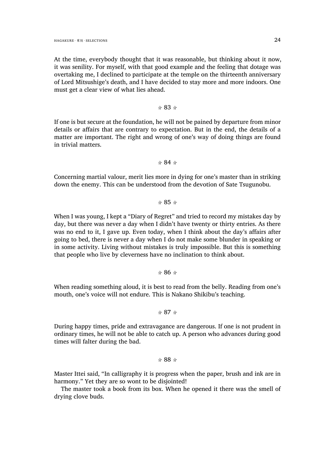At the time, everybody thought that it was reasonable, but thinking about it now, it was senility. For myself, with that good example and the feeling that dotage was overtaking me, I declined to participate at the temple on the thirteenth anniversary of Lord Mitsushige's death, and I have decided to stay more and more indoors. One must get a clear view of what lies ahead.

$$
\hat{v} \ 83 \ \hat{v}
$$

If one is but secure at the foundation, he will not be pained by departure from minor details or affairs that are contrary to expectation. But in the end, the details of a matter are important. The right and wrong of one's way of doing things are found in trivial matters.

分 84 分

Concerning martial valour, merit lies more in dying for one's master than in striking down the enemy. This can be understood from the devotion of Sate Tsugunobu.

分 85 分

When I was young, I kept a "Diary of Regret" and tried to record my mistakes day by day, but there was never a day when I didn't have twenty or thirty entries. As there was no end to it, I gave up. Even today, when I think about the day's affairs after going to bed, there is never a day when I do not make some blunder in speaking or in some activity. Living without mistakes is truly impossible. But this is something that people who live by cleverness have no inclination to think about.

分 86 分

When reading something aloud, it is best to read from the belly. Reading from one's mouth, one's voice will not endure. This is Nakano Shikibu's teaching.

分 87 分

During happy times, pride and extravagance are dangerous. If one is not prudent in ordinary times, he will not be able to catch up. A person who advances during good times will falter during the bad.

分 88 分

Master Ittei said, "In calligraphy it is progress when the paper, brush and ink are in harmony." Yet they are so wont to be disjointed!

The master took a book from its box. When he opened it there was the smell of drying clove buds.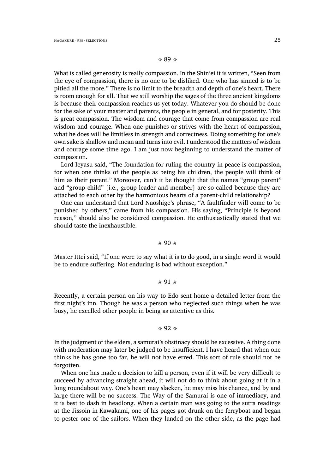What is called generosity is really compassion. In the Shin'ei it is written, "Seen from the eye of compassion, there is no one to be disliked. One who has sinned is to be pitied all the more." There is no limit to the breadth and depth of one's heart. There is room enough for all. That we still worship the sages of the three ancient kingdoms is because their compassion reaches us yet today. Whatever you do should be done for the sake of your master and parents, the people in general, and for posterity. This is great compassion. The wisdom and courage that come from compassion are real wisdom and courage. When one punishes or strives with the heart of compassion, what he does will be limitless in strength and correctness. Doing something for one's own sake is shallow and mean and turns into evil. I understood the matters of wisdom and courage some time ago. I am just now beginning to understand the matter of compassion.

Lord Ieyasu said, "The foundation for ruling the country in peace is compassion, for when one thinks of the people as being his children, the people will think of him as their parent." Moreover, can't it be thought that the names "group parent" and "group child" [i.e., group leader and member] are so called because they are attached to each other by the harmonious hearts of a parent-child relationship?

One can understand that Lord Naoshige's phrase, "A faultfinder will come to be punished by others," came from his compassion. His saying, "Principle is beyond reason," should also be considered compassion. He enthusiastically stated that we should taste the inexhaustible.

#### 分 90 分

Master Ittei said, "If one were to say what it is to do good, in a single word it would be to endure suffering. Not enduring is bad without exception."

#### 分 91 分

Recently, a certain person on his way to Edo sent home a detailed letter from the first night's inn. Though he was a person who neglected such things when he was busy, he excelled other people in being as attentive as this.

#### 分 92 分

In the judgment of the elders, a samurai's obstinacy should be excessive. A thing done with moderation may later be judged to be insufficient. I have heard that when one thinks he has gone too far, he will not have erred. This sort of rule should not be forgotten.

When one has made a decision to kill a person, even if it will be very difficult to succeed by advancing straight ahead, it will not do to think about going at it in a long roundabout way. One's heart may slacken, he may miss his chance, and by and large there will be no success. The Way of the Samurai is one of immediacy, and it is best to dash in headlong. When a certain man was going to the sutra readings at the Jissoin in Kawakami, one of his pages got drunk on the ferryboat and began to pester one of the sailors. When they landed on the other side, as the page had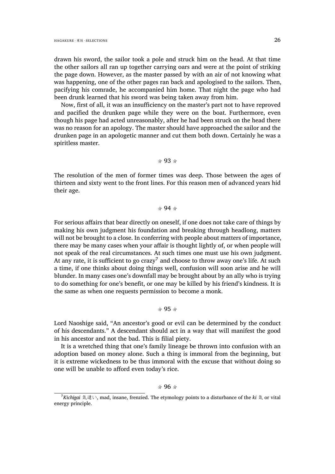drawn his sword, the sailor took a pole and struck him on the head. At that time the other sailors all ran up together carrying oars and were at the point of striking the page down. However, as the master passed by with an air of not knowing what was happening, one of the other pages ran back and apologised to the sailors. Then, pacifying his comrade, he accompanied him home. That night the page who had been drunk learned that his sword was being taken away from him.

Now, first of all, it was an insufficiency on the master's part not to have reproved and pacified the drunken page while they were on the boat. Furthermore, even though his page had acted unreasonably, after he had been struck on the head there was no reason for an apology. The master should have approached the sailor and the drunken page in an apologetic manner and cut them both down. Certainly he was a spiritless master.

分 93 分

The resolution of the men of former times was deep. Those between the ages of thirteen and sixty went to the front lines. For this reason men of advanced years hid their age.

## 分 94 分

For serious affairs that bear directly on oneself, if one does not take care of things by making his own judgment his foundation and breaking through headlong, matters will not be brought to a close. In conferring with people about matters of importance, there may be many cases when your affair is thought lightly of, or when people will not speak of the real circumstances. At such times one must use his own judgment. At any rate, it is sufficient to go crazy<sup>7</sup> and choose to throw away one's life. At such a time, if one thinks about doing things well, confusion will soon arise and he will blunder. In many cases one's downfall may be brought about by an ally who is trying to do something for one's benefit, or one may be killed by his friend's kindness. It is the same as when one requests permission to become a monk.

## 分 95 分

Lord Naoshige said, "An ancestor's good or evil can be determined by the conduct of his descendants." A descendant should act in a way that will manifest the good in his ancestor and not the bad. This is filial piety.

It is a wretched thing that one's family lineage be thrown into confusion with an adoption based on money alone. Such a thing is immoral from the beginning, but it is extreme wickedness to be thus immoral with the excuse that without doing so one will be unable to afford even today's rice.

#### 分 96 分

<sup>7</sup>*Kichigai* 気違い, mad, insane, frenzied. The etymology points to a disturbance of the *ki* 気 or vital energy principle.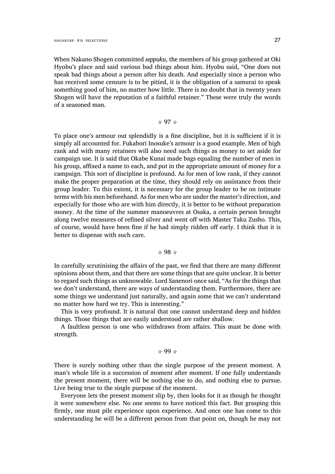When Nakano Shogen committed *seppuku*, the members of his group gathered at Oki Hyobu's place and said various bad things about him. Hyobu said, "One does not speak bad things about a person after his death. And especially since a person who has received some censure is to be pitied, it is the obligation of a samurai to speak something good of him, no matter how little. There is no doubt that in twenty years Shogen will have the reputation of a faithful retainer." These were truly the words of a seasoned man.

分 97 分

To place one's armour out splendidly is a fine discipline, but it is sufficient if it is simply all accounted for. Fukabori Inosuke's armour is a good example. Men of high rank and with many retainers will also need such things as money to set aside for campaign use. It is said that Okabe Kunai made bags equaling the number of men in his group, affixed a name to each, and put in the appropriate amount of money for a campaign. This sort of discipline is profound. As for men of low rank, if they cannot make the proper preparation at the time, they should rely on assistance from their group leader. To this extent, it is necessary for the group leader to be on intimate terms with his men beforehand. As for men who are under the master's direction, and especially for those who are with him directly, it is better to be without preparation money. At the time of the summer manoeuvres at Osaka, a certain person brought along twelve measures of refined silver and went off with Master Taku Zusho. This, of course, would have been fine if he had simply ridden off early. I think that it is better to dispense with such care.

## 分 98 分

In carefully scrutinising the affairs of the past, we find that there are many different opinions about them, and that there are some things that are quite unclear. It is better to regard such things as unknowable. Lord Sanenori once said, "As for the things that we don't understand, there are ways of understanding them. Furthermore, there are some things we understand just naturally, and again some that we can't understand no matter how hard we try. This is interesting."

This is very profound. It is natural that one cannot understand deep and hidden things. Those things that are easily understood are rather shallow.

A faultless person is one who withdraws from affairs. This must be done with strength.

分 99 分

There is surely nothing other than the single purpose of the present moment. A man's whole life is a succession of moment after moment. If one fully understands the present moment, there will be nothing else to do, and nothing else to pursue. Live being true to the single purpose of the moment.

Everyone lets the present moment slip by, then looks for it as though he thought it were somewhere else. No one seems to have noticed this fact. But grasping this firmly, one must pile experience upon experience. And once one has come to this understanding he will be a different person from that point on, though he may not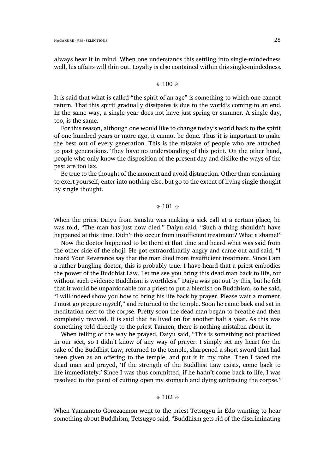always bear it in mind. When one understands this settling into single-mindedness well, his affairs will thin out. Loyalty is also contained within this single-mindedness.

分 100 分

It is said that what is called "the spirit of an age" is something to which one cannot return. That this spirit gradually dissipates is due to the world's coming to an end. In the same way, a single year does not have just spring or summer. A single day, too, is the same.

For this reason, although one would like to change today's world back to the spirit of one hundred years or more ago, it cannot be done. Thus it is important to make the best out of every generation. This is the mistake of people who are attached to past generations. They have no understanding of this point. On the other hand, people who only know the disposition of the present day and dislike the ways of the past are too lax.

Be true to the thought of the moment and avoid distraction. Other than continuing to exert yourself, enter into nothing else, but go to the extent of living single thought by single thought.

分 101 分

When the priest Daiyu from Sanshu was making a sick call at a certain place, he was told, "The man has just now died." Daiyu said, "Such a thing shouldn't have happened at this time. Didn't this occur from insufficient treatment? What a shame!"

Now the doctor happened to be there at that time and heard what was said from the other side of the shoji. He got extraordinarily angry and came out and said, "I heard Your Reverence say that the man died from insufficient treatment. Since I am a rather bungling doctor, this is probably true. I have heard that a priest embodies the power of the Buddhist Law. Let me see you bring this dead man back to life, for without such evidence Buddhism is worthless." Daiyu was put out by this, but he felt that it would be unpardonable for a priest to put a blemish on Buddhism, so he said, "I will indeed show you how to bring his life back by prayer. Please wait a moment. I must go prepare myself," and returned to the temple. Soon he came back and sat in meditation next to the corpse. Pretty soon the dead man began to breathe and then completely revived. It is said that he lived on for another half a year. As this was something told directly to the priest Tannen, there is nothing mistaken about it.

When telling of the way he prayed, Daiyu said, "This is something not practiced in our sect, so I didn't know of any way of prayer. I simply set my heart for the sake of the Buddhist Law, returned to the temple, sharpened a short sword that had been given as an offering to the temple, and put it in my robe. Then I faced the dead man and prayed, 'If the strength of the Buddhist Law exists, come back to life immediately.' Since I was thus committed, if he hadn't come back to life, I was resolved to the point of cutting open my stomach and dying embracing the corpse."

## 分 102 分

When Yamamoto Gorozaemon went to the priest Tetsugyu in Edo wanting to hear something about Buddhism, Tetsugyo said, "Buddhism gets rid of the discriminating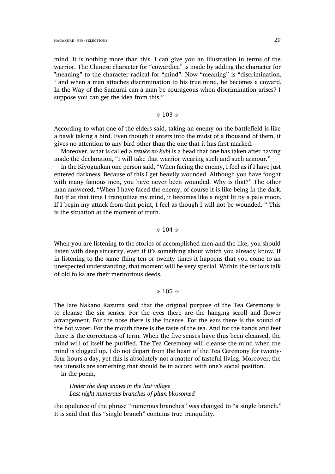mind. It is nothing more than this. I can give you an illustration in terms of the warrior. The Chinese character for "cowardice" is made by adding the character for "meaning" to the character radical for "mind". Now "meaning" is "discrimination, " and when a man attaches discrimination to his true mind, he becomes a coward. In the Way of the Samurai can a man be courageous when discrimination arises? I suppose you can get the idea from this."

分 103 分

According to what one of the elders said, taking an enemy on the battlefield is like a hawk taking a bird. Even though it enters into the midst of a thousand of them, it gives no attention to any bird other than the one that it has first marked.

Moreover, what is called a *tezuke no kubi* is a head that one has taken after having made the declaration, "I will take that warrior wearing such and such armour."

In the Kiyogunkan one person said, "When facing the enemy, I feel as if I have just entered darkness. Because of this I get heavily wounded. Although you have fought with many famous men, you have never been wounded. Why is that?" The other man answered, "When I have faced the enemy, of course it is like being in the dark. But if at that time I tranquilize my mind, it becomes like a night lit by a pale moon. If I begin my attack from that point, I feel as though I will not be wounded. " This is the situation at the moment of truth.

#### 分 104 分

When you are listening to the stories of accomplished men and the like, you should listen with deep sincerity, even if it's something about which you already know. If in listening to the same thing ten or twenty times it happens that you come to an unexpected understanding, that moment will be very special. Within the tedious talk of old folks are their meritorious deeds.

#### 分 105 分

The late Nakano Kazuma said that the original purpose of the Tea Ceremony is to cleanse the six senses. For the eyes there are the hanging scroll and flower arrangement. For the nose there is the incense. For the ears there is the sound of the hot water. For the mouth there is the taste of the tea. And for the hands and feet there is the correctness of term. When the five senses have thus been cleansed, the mind will of itself be purified. The Tea Ceremony will cleanse the mind when the mind is clogged up. I do not depart from the heart of the Tea Ceremony for twentyfour hours a day, yet this is absolutely not a matter of tasteful living. Moreover, the tea utensils are something that should be in accord with one's social position.

In the poem,

*Under the deep snows in the last village Last night numerous branches of plum blossomed*

the opulence of the phrase "numerous branches" was changed to "a single branch." It is said that this "single branch" contains true tranquility.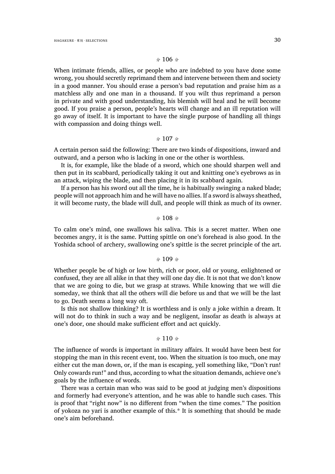When intimate friends, allies, or people who are indebted to you have done some wrong, you should secretly reprimand them and intervene between them and society in a good manner. You should erase a person's bad reputation and praise him as a matchless ally and one man in a thousand. If you wilt thus reprimand a person in private and with good understanding, his blemish will heal and he will become good. If you praise a person, people's hearts will change and an ill reputation will go away of itself. It is important to have the single purpose of handling all things with compassion and doing things well.

## 分 107 分

A certain person said the following: There are two kinds of dispositions, inward and outward, and a person who is lacking in one or the other is worthless.

It is, for example, like the blade of a sword, which one should sharpen well and then put in its scabbard, periodically taking it out and knitting one's eyebrows as in an attack, wiping the blade, and then placing it in its scabbard again.

If a person has his sword out all the time, he is habitually swinging a naked blade; people will not approach him and he will have no allies. If a sword is always sheathed, it will become rusty, the blade will dull, and people will think as much of its owner.

#### 分 108 分

To calm one's mind, one swallows his saliva. This is a secret matter. When one becomes angry, it is the same. Putting spittle on one's forehead is also good. In the Yoshida school of archery, swallowing one's spittle is the secret principle of the art.

#### 分 109 分

Whether people be of high or low birth, rich or poor, old or young, enlightened or confused, they are all alike in that they will one day die. It is not that we don't know that we are going to die, but we grasp at straws. While knowing that we will die someday, we think that all the others will die before us and that we will be the last to go. Death seems a long way oft.

Is this not shallow thinking? It is worthless and is only a joke within a dream. It will not do to think in such a way and be negligent, insofar as death is always at one's door, one should make sufficient effort and act quickly.

#### 分 110 分

The influence of words is important in military affairs. It would have been best for stopping the man in this recent event, too. When the situation is too much, one may either cut the man down, or, if the man is escaping, yell something like, "Don't run! Only cowards run!" and thus, according to what the situation demands, achieve one's goals by the influence of words.

There was a certain man who was said to be good at judging men's dispositions and formerly had everyone's attention, and he was able to handle such cases. This is proof that "right now" is no different from "when the time comes." The position of yokoza no yari is another example of this.\* It is something that should be made one's aim beforehand.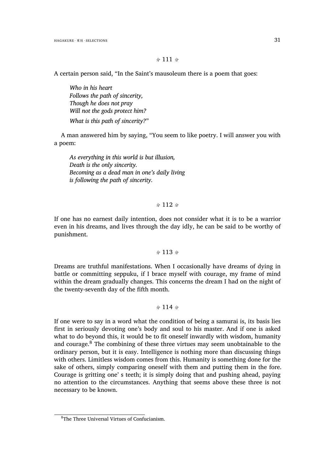HAGAKURE · 葉隱 · SELECTIONS  $31$ 

A certain person said, "In the Saint's mausoleum there is a poem that goes:

*Who in his heart Follows the path of sincerity, Though he does not pray Will not the gods protect him? What is this path of sincerity?*"

A man answered him by saying, "You seem to like poetry. I will answer you with a poem:

*As everything in this world is but illusion, Death is the only sincerity. Becoming as a dead man in one's daily living is following the path of sincerity.*

分 112 分

If one has no earnest daily intention, does not consider what it is to be a warrior even in his dreams, and lives through the day idly, he can be said to be worthy of punishment.

分 113 分

Dreams are truthful manifestations. When I occasionally have dreams of dying in battle or committing seppuku, if I brace myself with courage, my frame of mind within the dream gradually changes. This concerns the dream I had on the night of the twenty-seventh day of the fifth month.

## 分 114 分

If one were to say in a word what the condition of being a samurai is, its basis lies first in seriously devoting one's body and soul to his master. And if one is asked what to do beyond this, it would be to fit oneself inwardly with wisdom, humanity and courage.<sup>8</sup> The combining of these three virtues may seem unobtainable to the ordinary person, but it is easy. Intelligence is nothing more than discussing things with others. Limitless wisdom comes from this. Humanity is something done for the sake of others, simply comparing oneself with them and putting them in the fore. Courage is gritting one' s teeth; it is simply doing that and pushing ahead, paying no attention to the circumstances. Anything that seems above these three is not necessary to be known.

<sup>8</sup>The Three Universal Virtues of Confucianism.